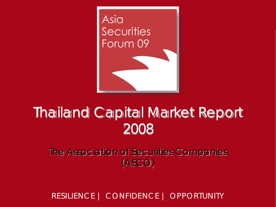

# Thailand Capital Market Report 2008

The Association of Securities Companies (ASCO)

RESILIENCE | CONFIDENCE | OPPORTUNITY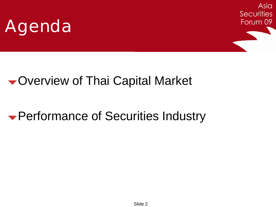



### Overview of Thai Capital Market

### Performance of Securities Industry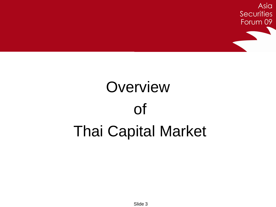

# **Overview** of Thai Capital Market

Slide 3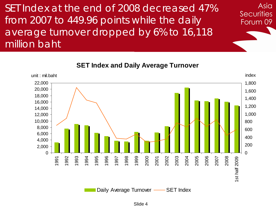SET Index at the end of 2008 decreased 47% from 2007 to 449.96 points while the daily average turnover dropped by 6% to 16,118 million baht

> unit : mil.baht index 1,800 22,000 20,000 1,600 18,000 1,400 16,000 1,200 14,000 1,000 12,000 10,000 800 8,000 600 6,000 400 4,000 200 2,000  $\Omega$  $\Omega$ 2006 2005 2008 1992 1993 1994 1995 1996 1997 1998 1999 2000 2001 2002 2003 2004 2007 1991 1st half 2009 1st half 2009

**SET Index and Daily Average Turnover**

Asia

**Securities** 

Forum 09

Daily Average Turnover - SET Index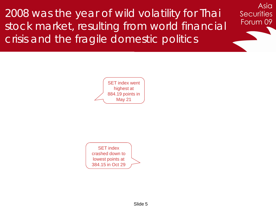2008 was the year of wild volatility for Thai stock market, resulting from world financial crisis and the fragile domestic politics

Asia

**Securities** 

Forum 09



SET index crashed down to lowest points at 384.15 in Oct 29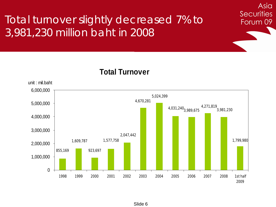#### Total turnover slightly decreased 7% to 3,981,230 million baht in 2008



Asia

**Securities** 

Forum 09

**Total Turnover**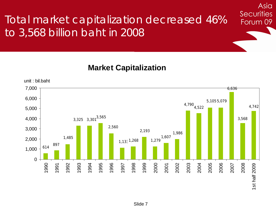### Total market capitalization decreased 46% to 3,568 billion baht in 2008

**Market Capitalization**



Asia

**Securities**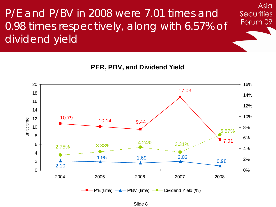P/E and P/BV in 2008 were 7.01 times and 0.98 times respectively, along with 6.57% of dividend yield

**PER, PBV, and Dividend Yield**

Asia

**Securities** 



Slide 8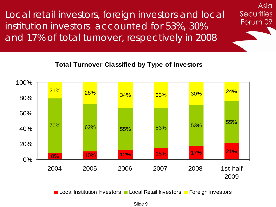Local retail investors, foreign investors and local institution investors accounted for 53%, 30% and 17% of total turnover, respectively in 2008

#### **Total Turnover Classified by Type of Investors**

Asia

**Securities** 

Forum 09



Slide 9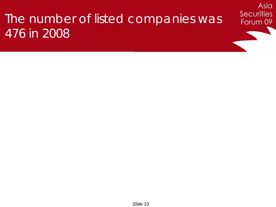## The number of listed companies was 476 in 2008

Asia

**Securities**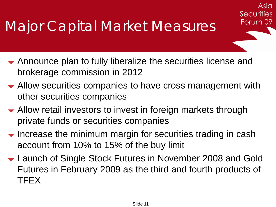Announce plan to fully liberalize the securities license and brokerage commission in 2012

Asia

**Securities** 

- Allow securities companies to have cross management with other securities companies
- Allow retail investors to invest in foreign markets through private funds or securities companies
- $\blacktriangleright$  Increase the minimum margin for securities trading in cash account from 10% to 15% of the buy limit
- Launch of Single Stock Futures in November 2008 and Gold Futures in February 2009 as the third and fourth products of TFEX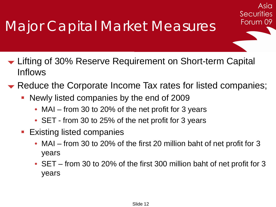# Major Capital Market Measures

- **► Lifting of 30% Reserve Requirement on Short-term Capital** Inflows
- Reduce the Corporate Income Tax rates for listed companies;

Asia

**Securities** 

- Newly listed companies by the end of 2009
	- MAI from 30 to 20% of the net profit for 3 years
	- SET from 30 to 25% of the net profit for 3 years
- **Existing listed companies** 
	- MAI from 30 to 20% of the first 20 million baht of net profit for 3 years
	- SET from 30 to 20% of the first 300 million baht of net profit for 3 years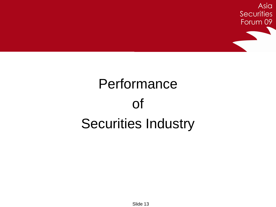

# Performance of Securities Industry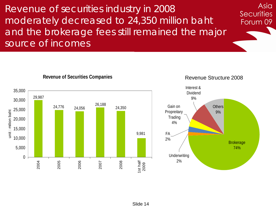Revenue of securities industry in 2008 moderately decreased to 24,350 million baht and the brokerage fees still remained the major source of incomes



#### **Revenue of Securities Companies**

Revenue Structure 2008

Asia

**Securities** 

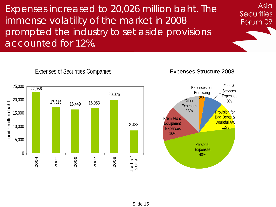Expenses increased to 20,026 million baht. The immense volatility of the market in 2008 prompted the industry to set aside provisions accounted for 12%.

25,000 22,956 20,026 20,000 17,315 16,449 16,953 unit : million baht unit : million baht 15,000 8,483 10,000 5,000 0 2009 2008 2006 2007 1st half 2004 2005

#### Expenses of Securities Companies

Expenses Structure 2008

Asia

**Securities** 

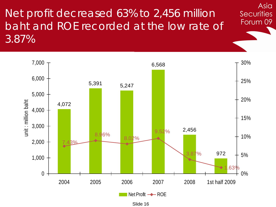Net profit decreased 63% to 2,456 million baht and ROE recorded at the low rate of 3.87%



Asia

**Securities** 

Slide 16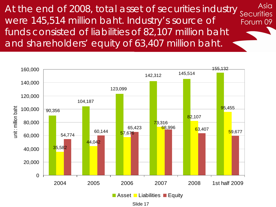At the end of 2008, total asset of securities industry securities Asia were 145,514 million baht. Industry's source of Forum 09 funds consisted of liabilities of 82,107 million baht and shareholders' equity of 63,407 million baht.



Slide 17